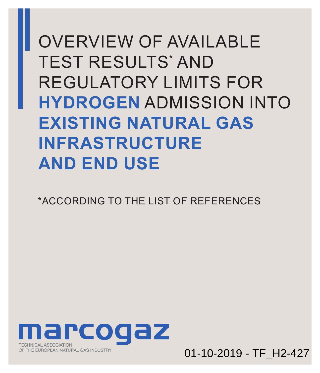OVERVIEW OF AVAILABLE TEST RESULTS\* AND REGULATORY LIMITS FOR **HYDROGEN** ADMISSION INTO **EXISTING NATURAL GAS INFRASTRUCTURE AND END USE**

\*ACCORDING TO THE LIST OF [REFERENCES](#page-8-0)



01-10-2019 - TF\_H2-427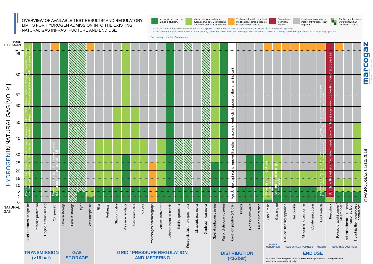NATURAL GAS INFRASTRUCTURE AND END USE



This assessment is based on information from R&D projects, codes & standards, manufacturers and MARCOGAZ members expertise.<br>The assessment applies to segments in isolation. Any decision to inject hydrogen into a gas infras

\*According to the list [of references.](#page-8-0)

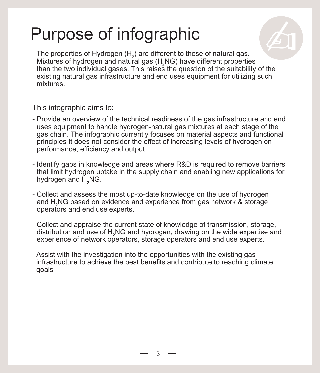# Purpose of infographic

- The properties of Hydrogen  $(H_2)$  are different to those of natural gas. Mixtures of hydrogen and natural gas  $(H_2NG)$  have different properties than the two individual gases. This raises the question of the suitability of the existing natural gas infrastructure and end uses equipment for utilizing such mixtures. ✍

This infographic aims to:

- Provide an overview of the technical readiness of the gas infrastructure and end uses equipment to handle hydrogen-natural gas mixtures at each stage of the gas chain. The infographic currently focuses on material aspects and functional principles It does not consider the effect of increasing levels of hydrogen on performance, efficiency and output.
- Identify gaps in knowledge and areas where R&D is required to remove barriers that limit hydrogen uptake in the supply chain and enabling new applications for hydrogen and  $\mathsf{H}_{_2}\mathsf{NG}.$
- Collect and assess the most up-to-date knowledge on the use of hydrogen and H2 NG based on evidence and experience from gas network & storage operators and end use experts.
- Collect and appraise the current state of knowledge of transmission, storage, distribution and use of  $\mathsf{H}_{2}\mathsf{NG}$  and hydrogen, drawing on the wide expertise and experience of network operators, storage operators and end use experts.
- Assist with the investigation into the opportunities with the existing gas infrastructure to achieve the best benefits and contribute to reaching climate goals.

3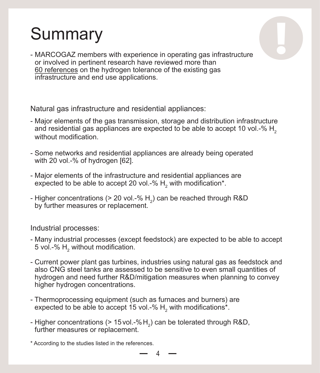# **Summary**



❕

Natural gas infrastructure and residential appliances:

- Major elements of the gas transmission, storage and distribution infrastructure and residential gas appliances are expected to be able to accept 10 vol. $-$ % H<sub>2</sub> without modification
- Some networks and residential appliances are already being operated with 20 vol.-% of hydrogen [62].
- Major elements of the infrastructure and residential appliances are expected to be able to accept 20 vol.-%  $\mathsf{H}_2$  with modification\*.
- Higher concentrations (> 20 vol.-%  $\mathsf{H}_2$ ) can be reached through R&D by further measures or replacement.

Industrial processes:

- Many industrial processes (except feedstock) are expected to be able to accept 5 vol.-%  $\mathsf{H}_{_2}$  without modification.
- Current power plant gas turbines, industries using natural gas as feedstock and also CNG steel tanks are assessed to be sensitive to even small quantities of hydrogen and need further R&D/mitigation measures when planning to convey higher hydrogen concentrations.
- Thermoprocessing equipment (such as furnaces and burners) are expected to be able to accept 15 vol.-%  $\mathsf{H}_{_2}$  with modifications\*.
- Higher concentrations (> 15 vol.-% $\mathsf{H}_2$ ) can be tolerated through R&D, further measures or replacement.
- \* According to the studies listed i[n the references.](#page-8-0)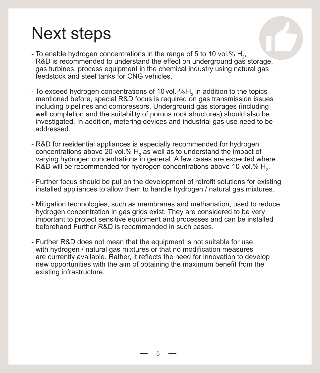## Next steps

- To enable hydrogen concentrations in the range of 5 to 10 vol.%  $H_2$ , R&D is recommended to understand the effect on underground gas storage, gas turbines, process equipment in the chemical industry using natural gas feedstock and steel tanks for CNG vehicles.
- To exceed hydrogen concentrations of 10 vol.-% $H_2$  in addition to the topics mentioned before, special R&D focus is required on gas transmission issues including pipelines and compressors. Underground gas storages (including well completion and the suitability of porous rock structures) should also be investigated. In addition, metering devices and industrial gas use need to be addressed.
- R&D for residential appliances is especially recommended for hydrogen concentrations above 20 vol.%  $\mathsf{H}_{_2}$  as well as to understand the impact of varying hydrogen concentrations in general. A few cases are expected where R&D will be recommended for hydrogen concentrations above 10 vol.%  $\mathsf{H}_{_2}$ .
- Further focus should be put on the development of retrofit solutions for existing installed appliances to allow them to handle hydrogen / natural gas mixtures.
- Mitigation technologies, such as membranes and methanation, used to reduce hydrogen concentration in gas grids exist. They are considered to be very important to protect sensitive equipment and processes and can be installed beforehand Further R&D is recommended in such cases.
- Further R&D does not mean that the equipment is not suitable for use with hydrogen / natural gas mixtures or that no modification measures are currently available. Rather, it reflects the need for innovation to develop new opportunities with the aim of obtaining the maximum benefit from the existing infrastructure.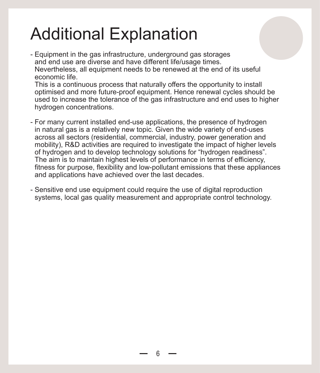## Additional Explanation

- Equipment in the gas infrastructure, underground gas storages and end use are diverse and have different life/usage times Nevertheless, all equipment needs to be renewed at the end of its useful economic life.

This is a continuous process that naturally offers the opportunity to install optimised and more future-proof equipment. Hence renewal cycles should be used to increase the tolerance of the gas infrastructure and end uses to higher hydrogen concentrations.

- For many current installed end-use applications, the presence of hydrogen in natural gas is a relatively new topic. Given the wide variety of end-uses across all sectors (residential, commercial, industry, power generation and mobility), R&D activities are required to investigate the impact of higher levels of hydrogen and to develop technology solutions for "hydrogen readiness". The aim is to maintain highest levels of performance in terms of efficiency, fitness for purpose, flexibility and low-pollutant emissions that these appliances and applications have achieved over the last decades.
- Sensitive end use equipment could require the use of digital reproduction systems, local gas quality measurement and appropriate control technology.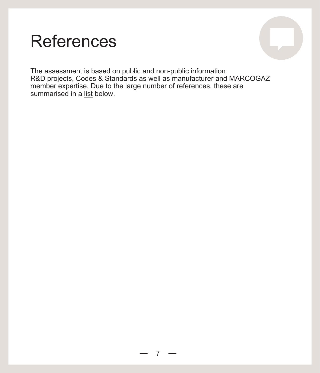## References

The assessment is based on public and non-public information [R&D projects, Codes & Standards as well as manufacturer and MARCOGAZ](#page-8-0)  member expertise. Due to the large number of references, these are summarised in a list below.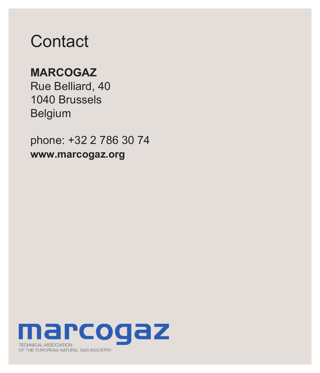### **Contact**

#### **MARCOGAZ**

Rue Belliard, 40 1040 Brussels Belgium

phone: +32 2 786 30 74 **www.marcogaz.org**

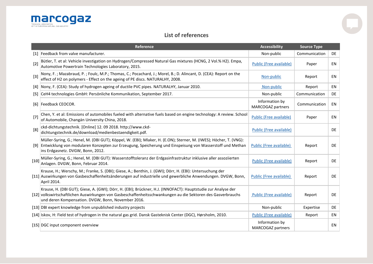<span id="page-8-0"></span>

#### **List of references**

|        | Reference                                                                                                                                                                                                                                                                           | <b>Accessibility</b>                       | <b>Source Type</b> |           |
|--------|-------------------------------------------------------------------------------------------------------------------------------------------------------------------------------------------------------------------------------------------------------------------------------------|--------------------------------------------|--------------------|-----------|
|        | [1] Feedback from valve manufacturer.                                                                                                                                                                                                                                               | Non-public                                 | Communication      | <b>DE</b> |
| $[2]$  | Bütler, T. et al: Vehicle investigation on Hydrogen/Compressed Natural Gas mixtures (HCNG, 2 Vol.% H2). Empa,<br>Automotive Powertrain Technologies Laboratory, 2015.                                                                                                               | Public (Free available)                    | Paper              | EN        |
| $[3]$  | Nony, F.; Mazabraud, P.; Foulc, M.P.; Thomas, C.; Pocachard, J.; Morel, B.; D. Alincant, D. (CEA): Report on the<br>effect of H2 on polymers - Effect on the ageing of PE discs. NATURALHY, 2008.                                                                                   | Non-public                                 | Report             | <b>EN</b> |
|        | [4] Nony, F. (CEA): Study of hydrogen ageing of ductile PVC pipes. NATURALHY, Januar 2010.                                                                                                                                                                                          | Non-public                                 | Report             | <b>EN</b> |
| [5]    | CeH4 technologies GmbH: Persönliche Kommunikation, September 2017.                                                                                                                                                                                                                  | Non-public                                 | Communication      | <b>DE</b> |
|        | [6] Feedback CEOCOR.                                                                                                                                                                                                                                                                | Information by<br>MARCOGAZ partners        | Communication      | EN        |
| $[7]$  | Chen, Y. et al: Emissions of automobiles fueled with alternative fuels based on engine technology: A review. School<br>of Automobile, Changán University China, 2018.                                                                                                               | Public (Free available)                    | Paper              | EN        |
| [8]    | ckd-dichtungstechnik. [Online] 12. 09 2018. http://www.ckd-<br>dichtungstechnik.de/download/medienbestaendigkeit.pdf.                                                                                                                                                               | Public (Free available)                    |                    | DE        |
|        | Müller-Syring, G.; Henel, M. (DBI GUT); Köppel, W. (EBI); Mlaker, H. (E.ON); Sterner, M. (IWES); Höcher, T. (VNG):<br>[9] Entwicklung von modularen Konzepten zur Erzeugung, Speicherung und Einspeisung von Wasserstoff und Methan<br>ins Erdgasnetz. DVGW, Bonn, 2012.            | Public (Free available)                    | Report             | <b>DE</b> |
| $[10]$ | Müller-Syring, G.; Henel, M. (DBI GUT): Wasserstofftoleranz der Erdgasinfrastruktur inklusive aller assoziierten<br>Anlagen. DVGW, Bonn, Februar 2014.                                                                                                                              | <b>Public (Free available)</b>             | Report             | <b>DE</b> |
|        | Krause, H.; Werschy, M.; Franke, S. (DBI); Giese, A.; Benthin, J. (GWI); Dörr, H. (EBI): Untersuchung der<br>[11] Auswirkungen von Gasbeschaffenheitsänderungen auf industrielle und gewerbliche Anwendungen. DVGW, Bonn,<br>April 2014.                                            | Public (Free available)                    | Report             | <b>DE</b> |
|        | Krause, H. (DBI GUT); Giese, A. (GWI); Dörr, H. (EBI); Brückner, H.J. (INNOFACT): Hauptstudie zur Analyse der<br>[12] volkswirtschaftlichen Auswirkungen von Gasbeschaffenheitsschwankungen au die Sektoren des Gasverbrauchs<br>und deren Kompensation. DVGW, Bonn, November 2016. | Public (Free available)                    | Report             | <b>DE</b> |
|        | [13] DBI expert knowledge from unpublished industry projects                                                                                                                                                                                                                        | Non-public                                 | Expertise          | <b>DE</b> |
|        | [14] Iskov, H: Field test of hydrogen in the natural gas grid. Dansk Gasteknisk Center (DGC), Hørsholm, 2010.                                                                                                                                                                       | Public (Free available)                    | Report             | EN        |
|        | [15] DGC input component overview                                                                                                                                                                                                                                                   | Information by<br><b>MARCOGAZ partners</b> |                    | EN        |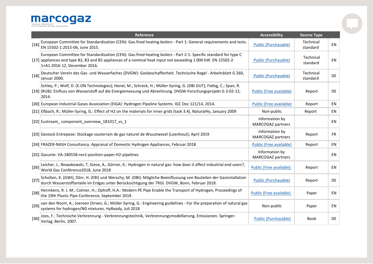

|        | Reference                                                                                                                                                                                                                                                         | <b>Accessibility</b>                       | <b>Source Type</b>    |           |
|--------|-------------------------------------------------------------------------------------------------------------------------------------------------------------------------------------------------------------------------------------------------------------------|--------------------------------------------|-----------------------|-----------|
| $[16]$ | European Committee for Standardization (CEN): Gas-fired heating boilers - Part 1: General requirements and tests.<br>EN 15502-1:2015-06, June 2015.                                                                                                               | <b>Public (Purchasable)</b>                | Technical<br>standard | <b>EN</b> |
|        | European Committee for Standardization (CEN): Gas-fired heating boilers - Part 2-1: Specific standard for type C<br>[17] appliances and type B2, B3 and B5 appliances of a nominal heat input not exceeding 1 000 kW. EN 15502-2-<br>1+A1:2016-12, December 2016. | <b>Public (Purchasable)</b>                | Technical<br>standard | <b>EN</b> |
| [18]   | Deutscher Verein des Gas- und Wasserfaches (DVGW): Gasbeschaffenheit. Technische Regel - Arbeitsblatt G 260,<br>Januar 2000.                                                                                                                                      | <b>Public (Purchasable)</b>                | Technical<br>standard | <b>DE</b> |
|        | Schley, P.; Wolf, D. (E.ON Technologies); Henel, M.; Schreck, H.; Müller-Syring, G. (DBI GUT); Fiebig, C.; Span, R.<br>[19] (RUB): Einfluss von Wasserstoff auf die Energiemessung und Abrechnung. DVGW-Forschungsprojekt G 3-02-12,<br>2014.                     | Public (Free available)                    | Report                | <b>DE</b> |
|        | [20] European Industrial Gases Association (EIGA): Hydrogen Pipeline Systems. IGC Doc 121/14, 2014.                                                                                                                                                               | Public (Free available)                    | Report                | EN        |
|        | [21] Eßbach, R.; Müller-Syring, G.: Effect of H2 on the materials for inner grids (task 3.4), NaturalHy, January 2009                                                                                                                                             | Non-public                                 | Report                | EN        |
|        | [22] Eustream_component_overview_181017_vs_1                                                                                                                                                                                                                      | Information by<br><b>MARCOGAZ partners</b> |                       | EN        |
|        | [23] Gestock Entrepose: Stockage souterrain de gaz naturel de Wuustwezel (Loenhout); April 2019                                                                                                                                                                   | Information by<br><b>MARCOGAZ partners</b> | Report                | FR.       |
|        | [24] FRAZER-NASH Consultancy: Appraisal of Domestic Hydrogen Appliances, Februar 2018                                                                                                                                                                             | <b>Public (Free available)</b>             | Report                | <b>EN</b> |
|        | [25] Gasunie: VA-180558-rev1-position-paper-H2-pipelines                                                                                                                                                                                                          | Information by<br>MARCOGAZ partners        |                       | EN        |
| $[26]$ | Leicher, J., Nowakowski, T, Giese, A., Görner, K.: Hydrogen in natural gas: how does it affect industrial end users?,<br>World Gas Conférence2018, June 2018                                                                                                      | Public (Free available)                    | Report                | EN        |
| $[27]$ | Scholten, K. (GWI), Dörr, H. (EBI) und Werschy, M. (DBI): Mögliche Beeinflussung von Bauteilen der Gasinstallation<br>durch Wasserstoffanteile im Erdgas unter Berücksichtigung der TRGI. DVGW, Bonn, Februar 2018.                                               | <b>Public (Purchasable)</b>                | Report                | DE.       |
| $[28]$ | Hermkens, R. J. M.; Colmer, H.; Ophoff, H.A.: Modern PE Pipe Enable the Transport of Hydrogen, Proceedings of<br>the 19th Plastic Pipe Conference, September 2018                                                                                                 | Public (Free available)                    | Paper                 | <b>EN</b> |
| $[29]$ | van den Noort, A.; Joeroen Dirven, G.; Müller-Syring, G.: Engineering guidelines - For the preparation of natural gas<br>systems for hydrogen/NG mixtures, HyReady, Juli 2018                                                                                     | Non-public                                 | Paper                 | EN        |
| $[30]$ | Joos, F.: Technische Verbrennung - Verbrennungstechnik, Verbrennungsmodellierung, Emissionen. Springer-<br>Verlag, Berlin, 2007.                                                                                                                                  | <b>Public (Purchasable)</b>                | <b>Book</b>           | <b>DE</b> |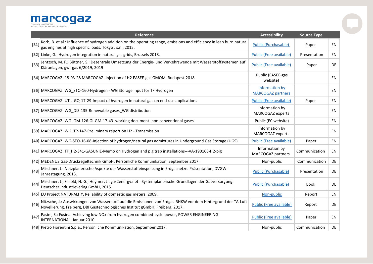

|        | <b>Reference</b>                                                                                                                                                                                | <b>Accessibility</b>                       | <b>Source Type</b> |           |
|--------|-------------------------------------------------------------------------------------------------------------------------------------------------------------------------------------------------|--------------------------------------------|--------------------|-----------|
| $[31]$ | Korb, B. et al.: Influence of hydrogen addition on the operating range, emissions and efficiency in lean burn natural<br>gas engines at high specific loads. Tokyo: s.n., 2015.                 | <b>Public (Purchasable)</b>                | Paper              | <b>EN</b> |
|        | [32] Linke, G.: Hydrogen integration in natural gas grids, Brussels 2018.                                                                                                                       | Public (Free available)                    | Presentation       | <b>EN</b> |
| $[33]$ | Jentzsch, M. F.; Büttner, S.: Dezentrale Umsetzung der Energie- und Verkehrswende mit Wasserstoffsystemen auf<br>Kläranlagen, gwf-gas 6/2019, 2019                                              | Public (Free available)                    | Paper              | DE        |
|        | [34] MARCOGAZ: 18-03-28 MARCOGAZ- injection of H2 EASEE-gas GMOM Budapest 2018                                                                                                                  | Public (EASEE-gas<br>website)              |                    | EN        |
|        | [35] MARCOGAZ: WG_STO-160-Hydrogen - WG Storage input for TF Hydrogen                                                                                                                           | Information by<br><b>MARCOGAZ partners</b> |                    | EN        |
|        | [36] MARCOGAZ: UTIL-GQ-17-29-Impact of hydrogen in natural gas on end-use applications                                                                                                          | <b>Public (Free available)</b>             | Paper              | EN        |
|        | [37] MARCOGAZ: WG_DIS-135-Renewable gases_WG distribution                                                                                                                                       | Information by<br>MARCOGAZ experts         |                    | EN        |
|        | [38] MARCOGAZ: WG_GM-126-GI-GM-17-43_working document_non conventional gases                                                                                                                    | Public (EC website)                        |                    | EN        |
|        | [39] MARCOGAZ: WG TP-147-Preliminary report on H2 - Transmission                                                                                                                                | Information by<br><b>MARCOGAZ</b> experts  |                    | EN        |
|        | [40] MARCOGAZ: WG-STO-16-08-Injection of hydrogen/natural gas admixtures in Underground Gas Storage (UGS)                                                                                       | <b>Public (Free available)</b>             | Paper              | ΕN        |
|        | [41] MARCOGAZ: TF_H2-341-GASUNIE-Memo on Hydrogen and pig trap installations---VA-190168-H2-pig                                                                                                 | Information by<br>MARCOGAZ partners        | Communication      | <b>EN</b> |
|        | [42] MEDENUS Gas-Druckregeltechnik GmbH: Persönliche Kommunikation, September 2017.                                                                                                             | Non-public                                 | Communication      | DE.       |
| $[43]$ | Mischner, J.: Netzplanerische Aspekte der Wasserstoffeinspeisung in Erdgasnetze. Präsentation, DVGW-<br>Jahrestagung, 2013.                                                                     | <b>Public (Purchasable)</b>                | Presentation       | DE        |
| [44]   | Mischner, J.; Fasold, H.-G.; Heymer, J.: gas2energy.net - Systemplanerische Grundlagen der Gasversorgung.<br>Deutscher Industrieverlag GmbH, 2015.                                              | <b>Public (Purchasable)</b>                | <b>Book</b>        | <b>DE</b> |
|        | [45] EU Project NATURALHY, Reliability of domestic gas meters, 2009.                                                                                                                            | Non-public                                 | Report             | EN        |
| $[46]$ | Nitzsche, J.: Auswirkungen von Wasserstoff auf die Emissionen von Erdgas-BHKW vor dem Hintergrund der TA-Luft<br>Novellierung. Freiberg, DBI Gastechnologisches Institut gGmbH, Freiberg, 2017. | <b>Public (Free available)</b>             | Report             | DE        |
| $[47]$ | Pasini, S.: Fusina: Achieving low NOx from hydrogen combined-cycle power, POWER ENGINEERING<br><b>INTERNATIONAL, Januar 2010</b>                                                                | <b>Public (Free available)</b>             | Paper              | EN        |
|        | [48] Pietro Fiorentini S.p.a.: Persönliche Kommunikation, September 2017.                                                                                                                       | Non-public                                 | Communication      | DE        |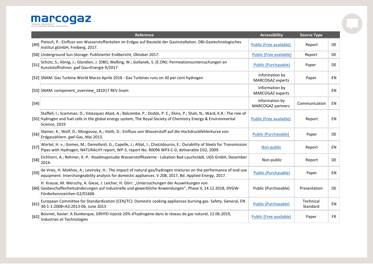**MAPCOGE Z** 

|        | <b>Reference</b>                                                                                                                                                                                                                                            | <b>Accessibility</b>                | <b>Source Type</b>    |           |
|--------|-------------------------------------------------------------------------------------------------------------------------------------------------------------------------------------------------------------------------------------------------------------|-------------------------------------|-----------------------|-----------|
| $[49]$ | Pietsch, P.: Einfluss von Wasserstoffanteilen im Erdgas auf Bauteile der Gasinstallation. DBI-Gastechnologisches<br>Institut gGmbH, Freiberg, 2017.                                                                                                         | <b>Public (Free available)</b>      | Report                | <b>DE</b> |
|        | [50] Underground Sun.Storage: Publizierter Endbericht, Oktober 2017.                                                                                                                                                                                        | Public (Free available)             | Report                | <b>DE</b> |
| $[51]$ | Schütz, S.; König, J.; Glandien, J. (DBI); Weßing, W.; Gollanek, S. (E.ON): Permeationsuntersuchungen an<br>Kunststoffrohren. gwf Gas+Energie 9/2017                                                                                                        | <b>Public (Purchasable)</b>         | Paper                 | <b>DE</b> |
|        | [52] SNAM: Gas Turbine World Marzo Aprile 2018 - Gas Turbines runs on 30 per cent hydrogen                                                                                                                                                                  | Information by<br>MARCOGAZ experts  | Paper                 | EN        |
|        | [53] SNAM: component_overview_181017 REV Snam                                                                                                                                                                                                               | Information by<br>MARCOGAZ experts  |                       | EN        |
| $[54]$ |                                                                                                                                                                                                                                                             | Information by<br>MARCOGAZ partners | Communication         | EN        |
|        | Staffell, I.; Scamman, D.; Velazquez Abad, A.; Balcombe, P.; Dodds, P. E.; Ekins, P.; Shah, N.; Ward, K.R.: The role of<br>[55] hydrogen and fuel cells in the global energy system, The Royal Society of Chemistry Energy & Environmental<br>Science, 2019 | <b>Public (Free available)</b>      | Report                | EN        |
| $[56]$ | Steiner, K.; Wolf, D.; Mozgovoy, A.; Vieth, D.: Einfluss von Wasserstoff auf die Hochdruckfehlerkurve von<br>Erdgaszählern. gwf-Gas, Mai 2013.                                                                                                              | <b>Public (Purchasable)</b>         | Paper                 | <b>DE</b> |
| $[57]$ | Wortel, H. v.; Gomes, M.; Demofonti, G.; Capelle, J.; Alliat, I.; Chatzidouros, E.: Durability of Steels for Transmission<br>Pipes with Hydrogen, NATURALHY report, WP-3, report No. R0096 WP3-C-0, deliverable D32, 2009.                                  | Non-public                          | Report                | EN        |
| $[58]$ | Eichhorn, A.; Rehmer, K.-P.: Roadmapstudie Wasserstoffkaverne - Lokation Bad Lauchstädt, UGS GmbH, Dezember<br>2014.                                                                                                                                        | Non-public                          | Report                | <b>DE</b> |
| $[59]$ | de Vries, H. Mokhov, A.; Levinsky, H.: The impact of natural gas/hydrogen mixtures on the performance of end-use<br>equipment: Interchangeability analysis for domestic appliances. V 208, 2017, Bd. Applied Energy, 2017.                                  | <b>Public (Purchasable)</b>         | Paper                 | EN        |
|        | H. Krause, M. Werschy, A. Giese, J. Leicher, H. Dörr: "Untersuchungen der Auswirkungen von<br>[60] Gasbeschaffenheitsänderungen auf industrielle und gewerbliche Anwendungen", Phase II, 14.12.2018, DVGW-<br>Förderkennzeichen G2/01606                    | Public (Purchasable)                | Presentation          | <b>DE</b> |
| [61]   | European Committee for Standardization (CEN/TC): Domestic cooking appliances burning gas. Safety. General, EN<br>30-1-1:2008+A3:2013-06, June 2013                                                                                                          | <b>Public (Purchasable)</b>         | Technical<br>Standard | <b>EN</b> |
| $[62]$ | Boivnet, Xavier: A Dunkerque, GRHYD injecte 20% d'hydrogène dans le réseau de gaz naturel, 12.06.2019,<br>Industries et Technologies                                                                                                                        | <b>Public (Free available)</b>      | Paper                 | FR.       |